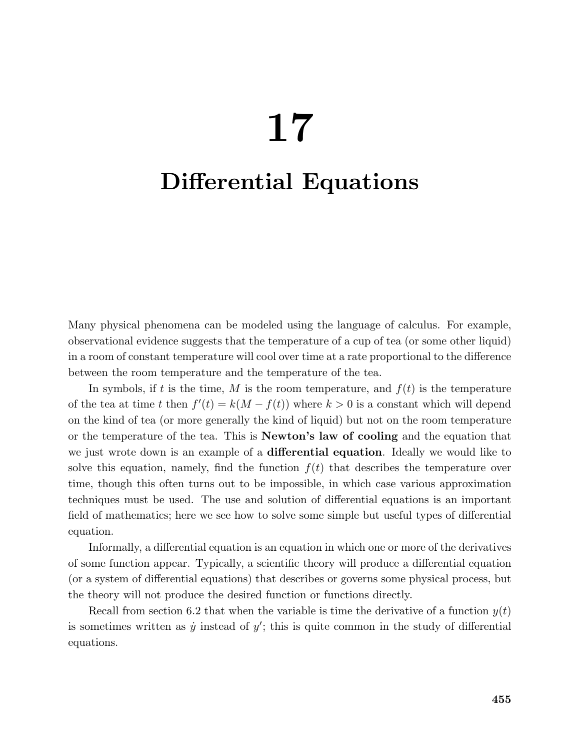# 17

## Differential Equations

Many physical phenomena can be modeled using the language of calculus. For example, observational evidence suggests that the temperature of a cup of tea (or some other liquid) in a room of constant temperature will cool over time at a rate proportional to the difference between the room temperature and the temperature of the tea.

In symbols, if t is the time, M is the room temperature, and  $f(t)$  is the temperature of the tea at time t then  $f'(t) = k(M - f(t))$  where  $k > 0$  is a constant which will depend on the kind of tea (or more generally the kind of liquid) but not on the room temperature or the temperature of the tea. This is Newton's law of cooling and the equation that we just wrote down is an example of a **differential equation**. Ideally we would like to solve this equation, namely, find the function  $f(t)$  that describes the temperature over time, though this often turns out to be impossible, in which case various approximation techniques must be used. The use and solution of differential equations is an important field of mathematics; here we see how to solve some simple but useful types of differential equation.

Informally, a differential equation is an equation in which one or more of the derivatives of some function appear. Typically, a scientific theory will produce a differential equation (or a system of differential equations) that describes or governs some physical process, but the theory will not produce the desired function or functions directly.

Recall from section 6.2 that when the variable is time the derivative of a function  $y(t)$ is sometimes written as  $\dot{y}$  instead of  $y'$ ; this is quite common in the study of differential equations.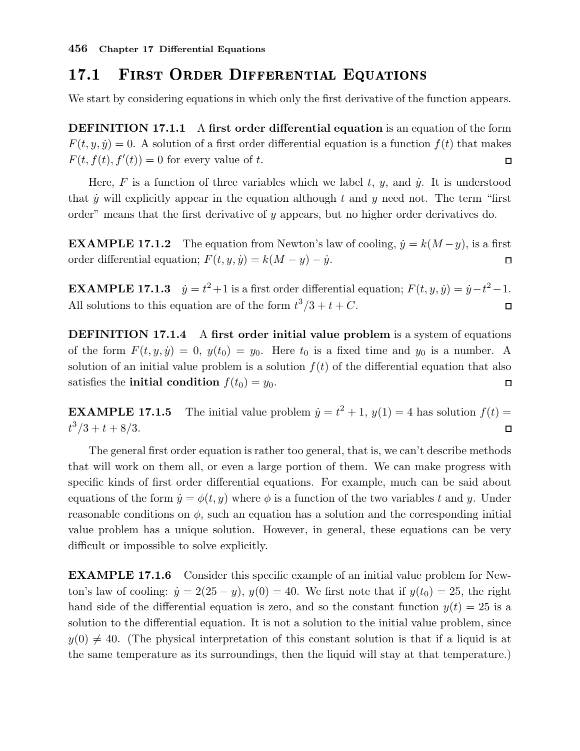#### FIRST ORDER DIFFERENTIAL EQUATIONS 17.1

We start by considering equations in which only the first derivative of the function appears.

DEFINITION 17.1.1 A first order differential equation is an equation of the form  $F(t, y, \dot{y}) = 0$ . A solution of a first order differential equation is a function  $f(t)$  that makes  $F(t, f(t), f'(t)) = 0$  for every value of t.  $\Box$ 

Here,  $F$  is a function of three variables which we label  $t, y$ , and  $\dot{y}$ . It is understood that  $\dot{y}$  will explicitly appear in the equation although t and y need not. The term "first" order" means that the first derivative of  $y$  appears, but no higher order derivatives do.

**EXAMPLE 17.1.2** The equation from Newton's law of cooling,  $\dot{y} = k(M - y)$ , is a first order differential equation;  $F(t, y, \dot{y}) = k(M - y) - \dot{y}$ .  $\Box$ 

**EXAMPLE 17.1.3**  $\dot{y} = t^2 + 1$  is a first order differential equation;  $F(t, y, \dot{y}) = \dot{y} - t^2 - 1$ . All solutions to this equation are of the form  $t^3/3 + t + C$ .  $\Box$ 

DEFINITION 17.1.4 A first order initial value problem is a system of equations of the form  $F(t, y, \dot{y}) = 0$ ,  $y(t_0) = y_0$ . Here  $t_0$  is a fixed time and  $y_0$  is a number. A solution of an initial value problem is a solution  $f(t)$  of the differential equation that also satisfies the **initial condition**  $f(t_0) = y_0$ .  $\Box$ 

**EXAMPLE 17.1.5** The initial value problem  $\dot{y} = t^2 + 1$ ,  $y(1) = 4$  has solution  $f(t) =$  $t^3/3 + t + 8/3.$  $\Box$ 

The general first order equation is rather too general, that is, we can't describe methods that will work on them all, or even a large portion of them. We can make progress with specific kinds of first order differential equations. For example, much can be said about equations of the form  $\dot{y} = \phi(t, y)$  where  $\phi$  is a function of the two variables t and y. Under reasonable conditions on  $\phi$ , such an equation has a solution and the corresponding initial value problem has a unique solution. However, in general, these equations can be very difficult or impossible to solve explicitly.

EXAMPLE 17.1.6 Consider this specific example of an initial value problem for Newton's law of cooling:  $\dot{y} = 2(25 - y)$ ,  $y(0) = 40$ . We first note that if  $y(t_0) = 25$ , the right hand side of the differential equation is zero, and so the constant function  $y(t) = 25$  is a solution to the differential equation. It is not a solution to the initial value problem, since  $y(0) \neq 40$ . (The physical interpretation of this constant solution is that if a liquid is at the same temperature as its surroundings, then the liquid will stay at that temperature.)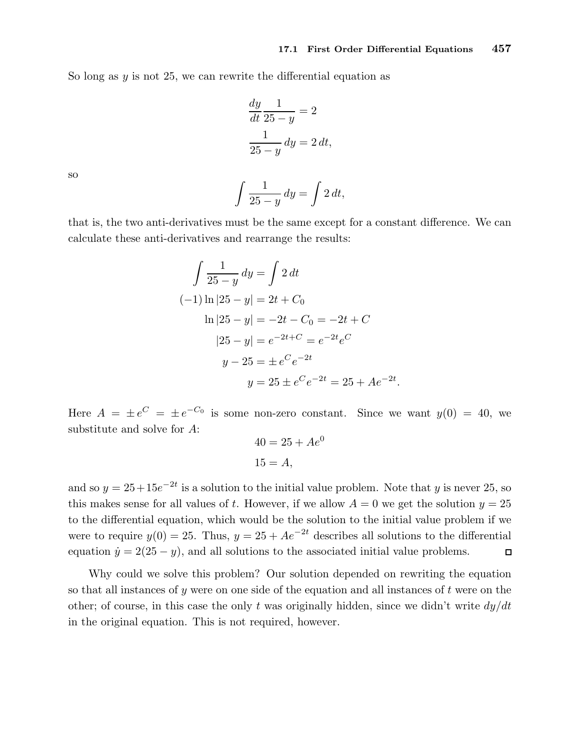.

So long as  $y$  is not 25, we can rewrite the differential equation as

$$
\frac{dy}{dt}\frac{1}{25-y} = 2
$$

$$
\frac{1}{25-y} dy = 2 dt,
$$

so

$$
\int \frac{1}{25-y} \, dy = \int 2 \, dt,
$$

that is, the two anti-derivatives must be the same except for a constant difference. We can calculate these anti-derivatives and rearrange the results:

$$
\int \frac{1}{25 - y} dy = \int 2 dt
$$
  
\n(-1) ln |25 - y| = 2t + C<sub>0</sub>  
\nln |25 - y| = -2t - C<sub>0</sub> = -2t + C  
\n|25 - y| = e<sup>-2t+C</sup> = e<sup>-2t</sup>e<sup>C</sup>  
\n y - 25 = \pm e<sup>C</sup>e<sup>-2t</sup>  
\n y = 25 \pm e<sup>C</sup>e<sup>-2t</sup> = 25 + Ae<sup>-2t</sup>

Here  $A = \pm e^{C} = \pm e^{-C_0}$  is some non-zero constant. Since we want  $y(0) = 40$ , we substitute and solve for A:

$$
40 = 25 + Ae^0
$$
  

$$
15 = A,
$$

and so  $y = 25 + 15e^{-2t}$  is a solution to the initial value problem. Note that y is never 25, so this makes sense for all values of t. However, if we allow  $A = 0$  we get the solution  $y = 25$ to the differential equation, which would be the solution to the initial value problem if we were to require  $y(0) = 25$ . Thus,  $y = 25 + Ae^{-2t}$  describes all solutions to the differential equation  $\dot{y} = 2(25 - y)$ , and all solutions to the associated initial value problems.  $\Box$ 

Why could we solve this problem? Our solution depended on rewriting the equation so that all instances of y were on one side of the equation and all instances of  $t$  were on the other; of course, in this case the only t was originally hidden, since we didn't write  $dy/dt$ in the original equation. This is not required, however.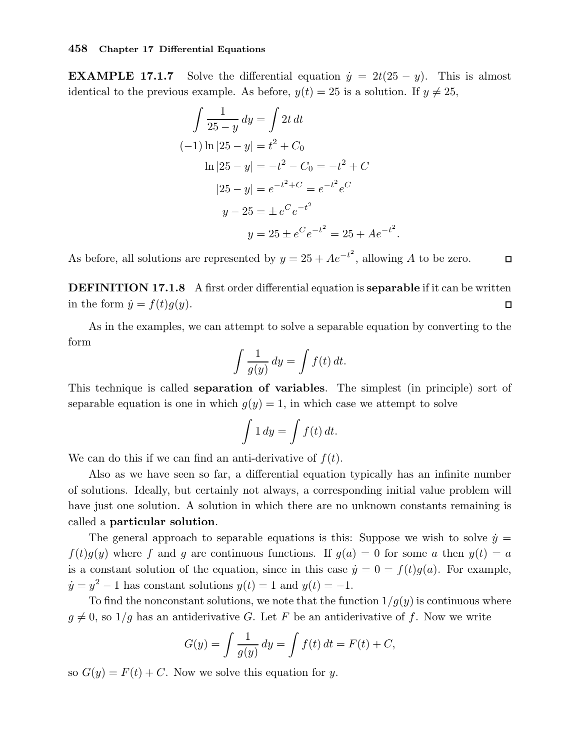**EXAMPLE 17.1.7** Solve the differential equation  $\dot{y} = 2t(25 - y)$ . This is almost identical to the previous example. As before,  $y(t) = 25$  is a solution. If  $y \neq 25$ ,

$$
\int \frac{1}{25 - y} dy = \int 2t dt
$$
  
\n(-1) ln |25 - y| = t<sup>2</sup> + C<sub>0</sub>  
\nln |25 - y| = -t<sup>2</sup> - C<sub>0</sub> = -t<sup>2</sup> + C  
\n|25 - y| = e<sup>-t<sup>2</sup>+C</sup> = e<sup>-t<sup>2</sup></sup>e<sup>C</sup>  
\ny - 25 = \pm e<sup>C</sup>e<sup>-t<sup>2</sup></sup>  
\ny = 25 \pm e<sup>C</sup>e<sup>-t<sup>2</sup></sup> = 25 + Ae<sup>-t<sup>2</sup></sup>.

As before, all solutions are represented by  $y = 25 + Ae^{-t^2}$ , allowing A to be zero.  $\Box$ 

**DEFINITION 17.1.8** A first order differential equation is **separable** if it can be written in the form  $\dot{y} = f(t)q(y)$ .  $\Box$ 

As in the examples, we can attempt to solve a separable equation by converting to the form

$$
\int \frac{1}{g(y)} \, dy = \int f(t) \, dt.
$$

This technique is called **separation of variables**. The simplest (in principle) sort of separable equation is one in which  $g(y) = 1$ , in which case we attempt to solve

$$
\int 1 dy = \int f(t) dt.
$$

We can do this if we can find an anti-derivative of  $f(t)$ .

Also as we have seen so far, a differential equation typically has an infinite number of solutions. Ideally, but certainly not always, a corresponding initial value problem will have just one solution. A solution in which there are no unknown constants remaining is called a particular solution.

The general approach to separable equations is this: Suppose we wish to solve  $\dot{y} =$  $f(t)q(y)$  where f and q are continuous functions. If  $q(a) = 0$  for some a then  $y(t) = a$ is a constant solution of the equation, since in this case  $\dot{y} = 0 = f(t)g(a)$ . For example,  $\dot{y} = y^2 - 1$  has constant solutions  $y(t) = 1$  and  $y(t) = -1$ .

To find the nonconstant solutions, we note that the function  $1/q(y)$  is continuous where  $g \neq 0$ , so  $1/g$  has an antiderivative G. Let F be an antiderivative of f. Now we write

$$
G(y) = \int \frac{1}{g(y)} dy = \int f(t) dt = F(t) + C,
$$

so  $G(y) = F(t) + C$ . Now we solve this equation for y.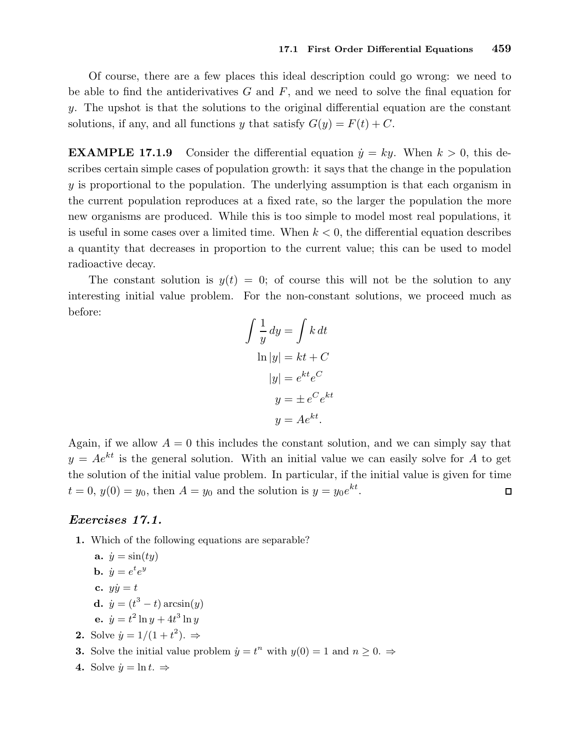Of course, there are a few places this ideal description could go wrong: we need to be able to find the antiderivatives  $G$  and  $F$ , and we need to solve the final equation for y. The upshot is that the solutions to the original differential equation are the constant solutions, if any, and all functions y that satisfy  $G(y) = F(t) + C$ .

**EXAMPLE 17.1.9** Consider the differential equation  $\dot{y} = ky$ . When  $k > 0$ , this describes certain simple cases of population growth: it says that the change in the population y is proportional to the population. The underlying assumption is that each organism in the current population reproduces at a fixed rate, so the larger the population the more new organisms are produced. While this is too simple to model most real populations, it is useful in some cases over a limited time. When  $k < 0$ , the differential equation describes a quantity that decreases in proportion to the current value; this can be used to model radioactive decay.

The constant solution is  $y(t) = 0$ ; of course this will not be the solution to any interesting initial value problem. For the non-constant solutions, we proceed much as before:

$$
\int \frac{1}{y} dy = \int k dt
$$
  
\n
$$
\ln|y| = kt + C
$$
  
\n
$$
|y| = e^{kt} e^{C}
$$
  
\n
$$
y = \pm e^{C} e^{kt}
$$
  
\n
$$
y = Ae^{kt}.
$$

Again, if we allow  $A = 0$  this includes the constant solution, and we can simply say that  $y = Ae^{kt}$  is the general solution. With an initial value we can easily solve for A to get the solution of the initial value problem. In particular, if the initial value is given for time  $t = 0, y(0) = y_0$ , then  $A = y_0$  and the solution is  $y = y_0 e^{kt}$ .  $\Box$ 

## Exercises 17.1.

1. Which of the following equations are separable?

**a.** 
$$
\dot{y} = \sin(ty)
$$
  
**b.**  $\dot{y} = e^t e^y$ 

- c.  $y\dot{y} = t$
- **d.**  $\dot{y} = (t^3 t) \arcsin(y)$
- **e.**  $\dot{y} = t^2 \ln y + 4t^3 \ln y$
- **2.** Solve  $\dot{y} = 1/(1+t^2)$ .  $\Rightarrow$
- **3.** Solve the initial value problem  $\dot{y} = t^n$  with  $y(0) = 1$  and  $n \geq 0$ .
- 4. Solve  $\dot{y} = \ln t$ .  $\Rightarrow$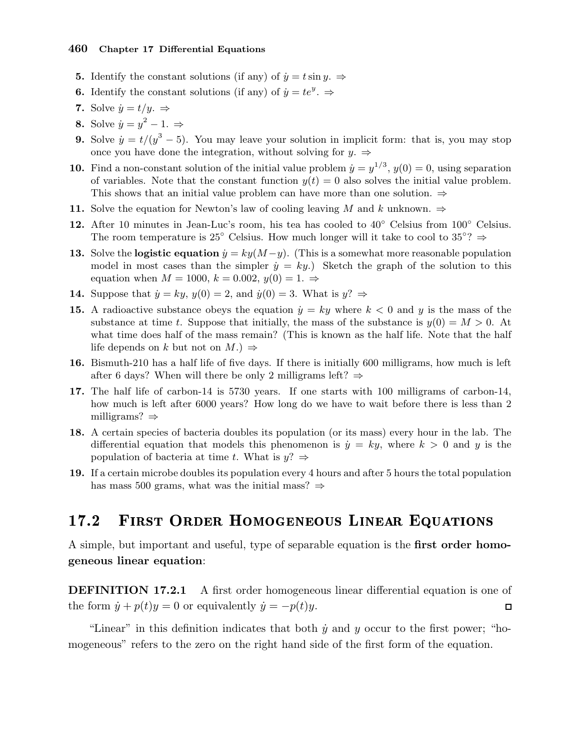- **5.** Identify the constant solutions (if any) of  $\dot{y} = t \sin y$ .  $\Rightarrow$
- **6.** Identify the constant solutions (if any) of  $\dot{y} = te^y$ .
- 7. Solve  $\dot{y} = t/y$ .  $\Rightarrow$
- 8. Solve  $\dot{y} = y^2 1. \Rightarrow$
- **9.** Solve  $\dot{y} = t/(y^3 5)$ . You may leave your solution in implicit form: that is, you may stop once you have done the integration, without solving for  $y. \Rightarrow$
- **10.** Find a non-constant solution of the initial value problem  $\dot{y} = y^{1/3}$ ,  $y(0) = 0$ , using separation of variables. Note that the constant function  $y(t) = 0$  also solves the initial value problem. This shows that an initial value problem can have more than one solution.  $\Rightarrow$
- 11. Solve the equation for Newton's law of cooling leaving M and k unknown.  $\Rightarrow$
- 12. After 10 minutes in Jean-Luc's room, his tea has cooled to  $40°$  Celsius from  $100°$  Celsius. The room temperature is 25° Celsius. How much longer will it take to cool to 35°?  $\Rightarrow$
- 13. Solve the logistic equation  $\dot{y} = ky(M-y)$ . (This is a somewhat more reasonable population model in most cases than the simpler  $\dot{y} = ky$ .) Sketch the graph of the solution to this equation when  $M = 1000$ ,  $k = 0.002$ ,  $y(0) = 1$ .  $\Rightarrow$
- **14.** Suppose that  $\dot{y} = ky$ ,  $y(0) = 2$ , and  $\dot{y}(0) = 3$ . What is  $y$ ?
- 15. A radioactive substance obeys the equation  $\dot{y} = ky$  where  $k < 0$  and y is the mass of the substance at time t. Suppose that initially, the mass of the substance is  $y(0) = M > 0$ . At what time does half of the mass remain? (This is known as the half life. Note that the half life depends on k but not on  $M$ .)  $\Rightarrow$
- 16. Bismuth-210 has a half life of five days. If there is initially 600 milligrams, how much is left after 6 days? When will there be only 2 milligrams left?  $\Rightarrow$
- 17. The half life of carbon-14 is 5730 years. If one starts with 100 milligrams of carbon-14, how much is left after 6000 years? How long do we have to wait before there is less than 2 milligrams? ⇒
- 18. A certain species of bacteria doubles its population (or its mass) every hour in the lab. The differential equation that models this phenomenon is  $\dot{y} = ky$ , where  $k > 0$  and y is the population of bacteria at time t. What is  $y$ ?  $\Rightarrow$
- 19. If a certain microbe doubles its population every 4 hours and after 5 hours the total population has mass 500 grams, what was the initial mass?  $\Rightarrow$

#### FIRST ORDER HOMOGENEOUS LINEAR EQUATIONS 17.2

A simple, but important and useful, type of separable equation is the **first order homo**geneous linear equation:

DEFINITION 17.2.1 A first order homogeneous linear differential equation is one of the form  $\dot{y} + p(t)y = 0$  or equivalently  $\dot{y} = -p(t)y$ .  $\Box$ 

"Linear" in this definition indicates that both  $\dot{y}$  and  $y$  occur to the first power; "homogeneous" refers to the zero on the right hand side of the first form of the equation.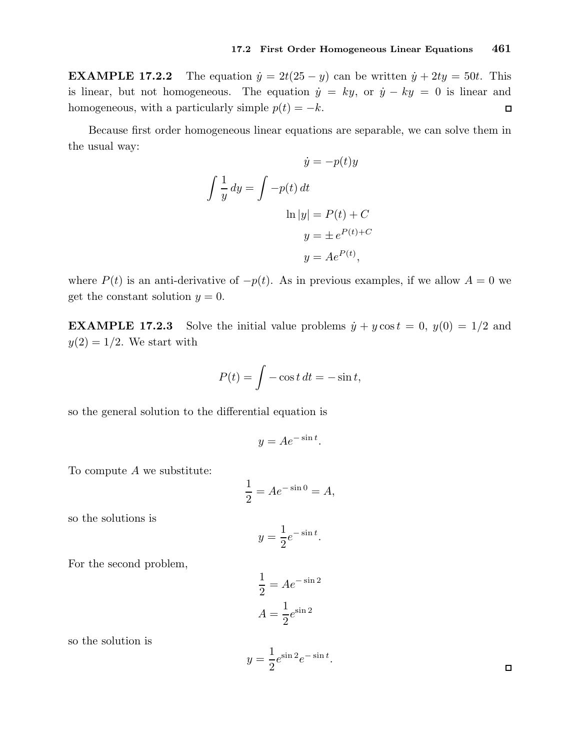**EXAMPLE 17.2.2** The equation  $\dot{y} = 2t(25 - y)$  can be written  $\dot{y} + 2ty = 50t$ . This is linear, but not homogeneous. The equation  $\dot{y} = ky$ , or  $\dot{y} - ky = 0$  is linear and homogeneous, with a particularly simple  $p(t) = -k$ .  $\Box$ 

Because first order homogeneous linear equations are separable, we can solve them in the usual way:

$$
\dot{y} = -p(t)y
$$

$$
\int \frac{1}{y} dy = \int -p(t) dt
$$

$$
\ln|y| = P(t) + C
$$

$$
y = \pm e^{P(t) + C}
$$

$$
y = Ae^{P(t)},
$$

where  $P(t)$  is an anti-derivative of  $-p(t)$ . As in previous examples, if we allow  $A = 0$  we get the constant solution  $y = 0$ .

**EXAMPLE 17.2.3** Solve the initial value problems  $\dot{y} + y \cos t = 0$ ,  $y(0) = 1/2$  and  $y(2) = 1/2$ . We start with

$$
P(t) = \int -\cos t \, dt = -\sin t,
$$

so the general solution to the differential equation is

$$
y = Ae^{-\sin t}.
$$

To compute  $A$  we substitute:

$$
\frac{1}{2} = Ae^{-\sin 0} = A,
$$

so the solutions is

$$
y = \frac{1}{2}e^{-\sin t}.
$$

For the second problem,

$$
\frac{1}{2} = Ae^{-\sin 2}
$$

$$
A = \frac{1}{2}e^{\sin 2}
$$

so the solution is

$$
y = \frac{1}{2}e^{\sin 2}e^{-\sin t}.
$$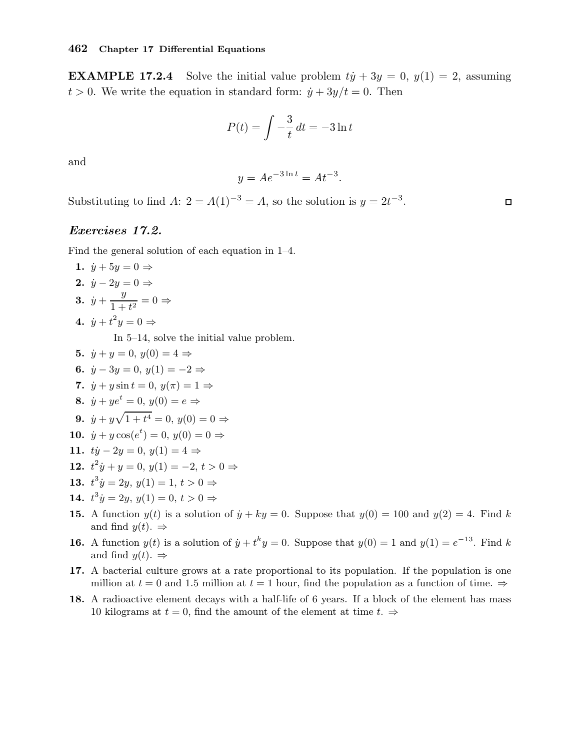**EXAMPLE 17.2.4** Solve the initial value problem  $t\dot{y} + 3y = 0$ ,  $y(1) = 2$ , assuming  $t > 0$ . We write the equation in standard form:  $\dot{y} + 3y/t = 0$ . Then

$$
P(t) = \int -\frac{3}{t} dt = -3 \ln t
$$

and

$$
y = Ae^{-3\ln t} = At^{-3}.
$$

Substituting to find  $A: 2 = A(1)^{-3} = A$ , so the solution is  $y = 2t^{-3}$ .

## Exercises 17.2.

Find the general solution of each equation in 1–4.

1.  $\dot{y} + 5y = 0 \Rightarrow$ 2.  $\dot{y} - 2y = 0 \Rightarrow$ 3.  $\dot{y} + \frac{y}{1+y}$  $\frac{9}{1+t^2} = 0 \Rightarrow$ 4.  $\dot{y} + t^2 y = 0 \Rightarrow$ 

In 5–14, solve the initial value problem.

- 5.  $\dot{y} + y = 0, y(0) = 4 \Rightarrow$ 6.  $\dot{y} - 3y = 0$ ,  $y(1) = -2$  ⇒ 7.  $\dot{y} + y \sin t = 0$ ,  $y(\pi) = 1 \Rightarrow$ 8.  $\dot{y} + ye^t = 0, y(0) = e \Rightarrow$ **9.**  $\dot{y} + y\sqrt{1+t^4} = 0, y(0) = 0 \Rightarrow$ 10.  $\dot{y} + y \cos(e^t) = 0, y(0) = 0 \Rightarrow$ 11.  $t\dot{y} - 2y = 0, y(1) = 4 \Rightarrow$ 12.  $t^2 \dot{y} + y = 0, y(1) = -2, t > 0 \Rightarrow$ 13.  $t^3 \dot{y} = 2y, y(1) = 1, t > 0 \Rightarrow$ 14.  $t^3 \dot{y} = 2y, y(1) = 0, t > 0 \Rightarrow$
- **15.** A function  $y(t)$  is a solution of  $\dot{y} + ky = 0$ . Suppose that  $y(0) = 100$  and  $y(2) = 4$ . Find k and find  $y(t)$ .  $\Rightarrow$
- **16.** A function  $y(t)$  is a solution of  $\dot{y} + t^k y = 0$ . Suppose that  $y(0) = 1$  and  $y(1) = e^{-13}$ . Find k and find  $y(t)$ .  $\Rightarrow$
- 17. A bacterial culture grows at a rate proportional to its population. If the population is one million at  $t = 0$  and 1.5 million at  $t = 1$  hour, find the population as a function of time.  $\Rightarrow$
- 18. A radioactive element decays with a half-life of 6 years. If a block of the element has mass 10 kilograms at  $t = 0$ , find the amount of the element at time  $t \Rightarrow$

 $\Box$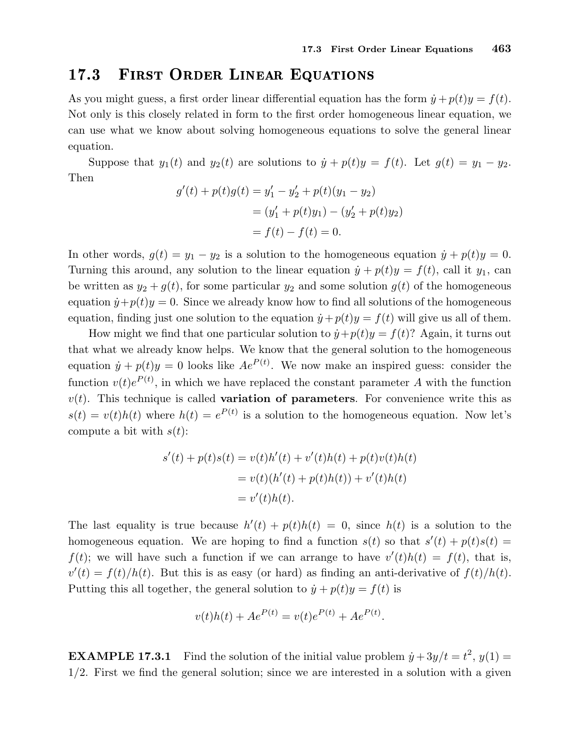## 17.3 First Order Linear Equations

As you might guess, a first order linear differential equation has the form  $\dot{y} + p(t)y = f(t)$ . Not only is this closely related in form to the first order homogeneous linear equation, we can use what we know about solving homogeneous equations to solve the general linear equation.

Suppose that  $y_1(t)$  and  $y_2(t)$  are solutions to  $\dot{y} + p(t)y = f(t)$ . Let  $g(t) = y_1 - y_2$ . Then

$$
g'(t) + p(t)g(t) = y'_1 - y'_2 + p(t)(y_1 - y_2)
$$
  
=  $(y'_1 + p(t)y_1) - (y'_2 + p(t)y_2)$   
=  $f(t) - f(t) = 0$ .

In other words,  $g(t) = y_1 - y_2$  is a solution to the homogeneous equation  $\dot{y} + p(t)y = 0$ . Turning this around, any solution to the linear equation  $\dot{y} + p(t)y = f(t)$ , call it  $y_1$ , can be written as  $y_2 + g(t)$ , for some particular  $y_2$  and some solution  $g(t)$  of the homogeneous equation  $\dot{y} + p(t)y = 0$ . Since we already know how to find all solutions of the homogeneous equation, finding just one solution to the equation  $\dot{y} + p(t)y = f(t)$  will give us all of them.

How might we find that one particular solution to  $\dot{y} + p(t)y = f(t)$ ? Again, it turns out that what we already know helps. We know that the general solution to the homogeneous equation  $\dot{y} + p(t)y = 0$  looks like  $Ae^{P(t)}$ . We now make an inspired guess: consider the function  $v(t)e^{P(t)}$ , in which we have replaced the constant parameter A with the function  $v(t)$ . This technique is called **variation of parameters**. For convenience write this as  $s(t) = v(t)h(t)$  where  $h(t) = e^{P(t)}$  is a solution to the homogeneous equation. Now let's compute a bit with  $s(t)$ :

$$
s'(t) + p(t)s(t) = v(t)h'(t) + v'(t)h(t) + p(t)v(t)h(t)
$$
  
=  $v(t)(h'(t) + p(t)h(t)) + v'(t)h(t)$   
=  $v'(t)h(t)$ .

The last equality is true because  $h'(t) + p(t)h(t) = 0$ , since  $h(t)$  is a solution to the homogeneous equation. We are hoping to find a function  $s(t)$  so that  $s'(t) + p(t)s(t) =$  $f(t)$ ; we will have such a function if we can arrange to have  $v'(t)h(t) = f(t)$ , that is,  $v'(t) = f(t)/h(t)$ . But this is as easy (or hard) as finding an anti-derivative of  $f(t)/h(t)$ . Putting this all together, the general solution to  $\dot{y} + p(t)y = f(t)$  is

$$
v(t)h(t) + Ae^{P(t)} = v(t)e^{P(t)} + Ae^{P(t)}.
$$

**EXAMPLE 17.3.1** Find the solution of the initial value problem  $\dot{y} + 3y/t = t^2$ ,  $y(1) =$  $1/2$ . First we find the general solution; since we are interested in a solution with a given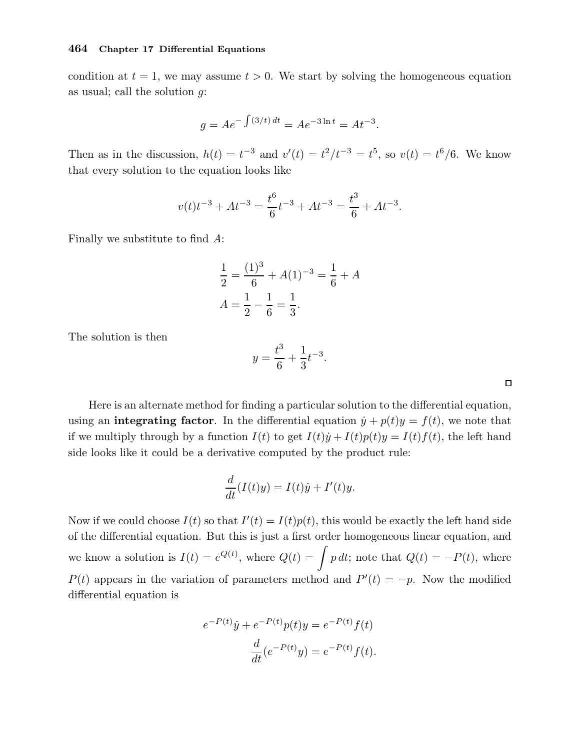condition at  $t = 1$ , we may assume  $t > 0$ . We start by solving the homogeneous equation as usual; call the solution g:

$$
g = Ae^{-\int (3/t) dt} = Ae^{-3\ln t} = At^{-3}.
$$

Then as in the discussion,  $h(t) = t^{-3}$  and  $v'(t) = t^2/t^{-3} = t^5$ , so  $v(t) = t^6/6$ . We know that every solution to the equation looks like

$$
v(t)t^{-3} + At^{-3} = \frac{t^6}{6}t^{-3} + At^{-3} = \frac{t^3}{6} + At^{-3}.
$$

Finally we substitute to find A:

$$
\frac{1}{2} = \frac{(1)^3}{6} + A(1)^{-3} = \frac{1}{6} + A
$$

$$
A = \frac{1}{2} - \frac{1}{6} = \frac{1}{3}.
$$

The solution is then

$$
y = \frac{t^3}{6} + \frac{1}{3}t^{-3}.
$$

Here is an alternate method for finding a particular solution to the differential equation, using an **integrating factor**. In the differential equation  $\dot{y} + p(t)y = f(t)$ , we note that if we multiply through by a function  $I(t)$  to get  $I(t)\dot{y} + I(t)p(t)y = I(t)f(t)$ , the left hand side looks like it could be a derivative computed by the product rule:

$$
\frac{d}{dt}(I(t)y) = I(t)\dot{y} + I'(t)y.
$$

Now if we could choose  $I(t)$  so that  $I'(t) = I(t)p(t)$ , this would be exactly the left hand side of the differential equation. But this is just a first order homogeneous linear equation, and we know a solution is  $I(t) = e^{Q(t)}$ , where  $Q(t) = \int p dt$ ; note that  $Q(t) = -P(t)$ , where  $P(t)$  appears in the variation of parameters method and  $P'(t) = -p$ . Now the modified differential equation is

$$
e^{-P(t)}\dot{y} + e^{-P(t)}p(t)y = e^{-P(t)}f(t)
$$

$$
\frac{d}{dt}(e^{-P(t)}y) = e^{-P(t)}f(t).
$$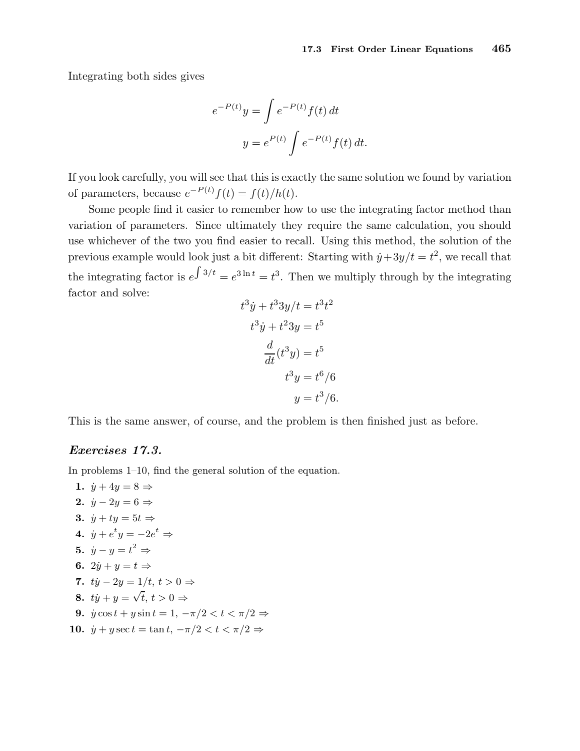Integrating both sides gives

$$
e^{-P(t)}y = \int e^{-P(t)}f(t) dt
$$

$$
y = e^{P(t)} \int e^{-P(t)}f(t) dt.
$$

If you look carefully, you will see that this is exactly the same solution we found by variation of parameters, because  $e^{-P(t)}f(t) = f(t)/h(t)$ .

Some people find it easier to remember how to use the integrating factor method than variation of parameters. Since ultimately they require the same calculation, you should use whichever of the two you find easier to recall. Using this method, the solution of the previous example would look just a bit different: Starting with  $\dot{y} + 3y/t = t^2$ , we recall that the integrating factor is  $e^{\int 3/t} = e^{3 \ln t} = t^3$ . Then we multiply through by the integrating factor and solve:

$$
t3 \dot{y} + t3 3y/t = t3 t2
$$

$$
t3 \dot{y} + t2 3y = t5
$$

$$
\frac{d}{dt}(t3 y) = t5
$$

$$
t3 y = t6/6
$$

$$
y = t3/6.
$$

This is the same answer, of course, and the problem is then finished just as before.

## Exercises 17.3.

In problems 1–10, find the general solution of the equation.

1.  $\dot{y} + 4y = 8 \Rightarrow$ 2.  $\dot{y} - 2y = 6 \Rightarrow$ 3.  $\dot{y} + t y = 5t \Rightarrow$ 4.  $\dot{y} + e^t y = -2e^t \Rightarrow$ 5.  $\dot{y} - y = t^2 \Rightarrow$ 6.  $2\dot{y} + y = t \Rightarrow$ 7.  $t\dot{y} - 2y = 1/t, t > 0 \Rightarrow$ 8.  $t\dot{y} + y = \sqrt{t}, t > 0 \Rightarrow$ 9.  $\dot{y}\cos t + y\sin t = 1, -\pi/2 < t < \pi/2 \Rightarrow$ 10.  $\dot{y} + y \sec t = \tan t, -\pi/2 < t < \pi/2 \Rightarrow$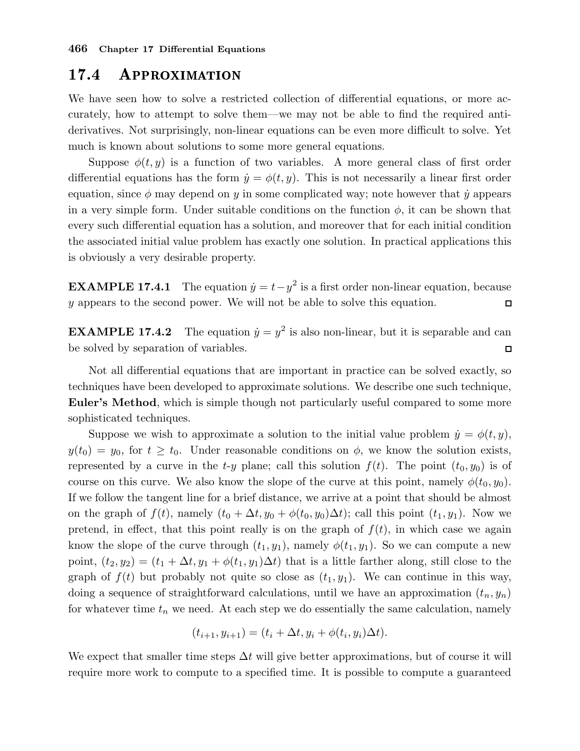## 17.4 Approximation

We have seen how to solve a restricted collection of differential equations, or more accurately, how to attempt to solve them—we may not be able to find the required antiderivatives. Not surprisingly, non-linear equations can be even more difficult to solve. Yet much is known about solutions to some more general equations.

Suppose  $\phi(t, y)$  is a function of two variables. A more general class of first order differential equations has the form  $\dot{y} = \phi(t, y)$ . This is not necessarily a linear first order equation, since  $\phi$  may depend on y in some complicated way; note however that  $\dot{y}$  appears in a very simple form. Under suitable conditions on the function  $\phi$ , it can be shown that every such differential equation has a solution, and moreover that for each initial condition the associated initial value problem has exactly one solution. In practical applications this is obviously a very desirable property.

**EXAMPLE 17.4.1** The equation  $\dot{y} = t - y^2$  is a first order non-linear equation, because y appears to the second power. We will not be able to solve this equation.  $\Box$ 

**EXAMPLE 17.4.2** The equation  $\dot{y} = y^2$  is also non-linear, but it is separable and can be solved by separation of variables.  $\Box$ 

Not all differential equations that are important in practice can be solved exactly, so techniques have been developed to approximate solutions. We describe one such technique, Euler's Method, which is simple though not particularly useful compared to some more sophisticated techniques.

Suppose we wish to approximate a solution to the initial value problem  $\dot{y} = \phi(t, y)$ ,  $y(t_0) = y_0$ , for  $t \geq t_0$ . Under reasonable conditions on  $\phi$ , we know the solution exists, represented by a curve in the t-y plane; call this solution  $f(t)$ . The point  $(t_0, y_0)$  is of course on this curve. We also know the slope of the curve at this point, namely  $\phi(t_0, y_0)$ . If we follow the tangent line for a brief distance, we arrive at a point that should be almost on the graph of  $f(t)$ , namely  $(t_0 + \Delta t, y_0 + \phi(t_0, y_0)\Delta t)$ ; call this point  $(t_1, y_1)$ . Now we pretend, in effect, that this point really is on the graph of  $f(t)$ , in which case we again know the slope of the curve through  $(t_1, y_1)$ , namely  $\phi(t_1, y_1)$ . So we can compute a new point,  $(t_2, y_2) = (t_1 + \Delta t, y_1 + \phi(t_1, y_1)\Delta t)$  that is a little farther along, still close to the graph of  $f(t)$  but probably not quite so close as  $(t_1, y_1)$ . We can continue in this way, doing a sequence of straightforward calculations, until we have an approximation  $(t_n, y_n)$ for whatever time  $t_n$  we need. At each step we do essentially the same calculation, namely

$$
(t_{i+1}, y_{i+1}) = (t_i + \Delta t, y_i + \phi(t_i, y_i)\Delta t).
$$

We expect that smaller time steps  $\Delta t$  will give better approximations, but of course it will require more work to compute to a specified time. It is possible to compute a guaranteed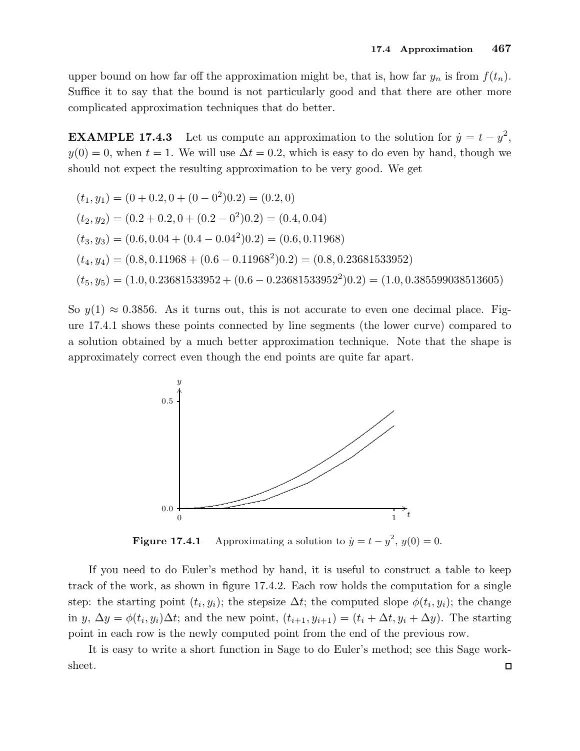upper bound on how far off the approximation might be, that is, how far  $y_n$  is from  $f(t_n)$ . Suffice it to say that the bound is not particularly good and that there are other more complicated approximation techniques that do better.

**EXAMPLE 17.4.3** Let us compute an approximation to the solution for  $\dot{y} = t - y^2$ ,  $y(0) = 0$ , when  $t = 1$ . We will use  $\Delta t = 0.2$ , which is easy to do even by hand, though we should not expect the resulting approximation to be very good. We get

$$
(t_1, y_1) = (0 + 0.2, 0 + (0 - 0^2)0.2) = (0.2, 0)
$$
  
\n
$$
(t_2, y_2) = (0.2 + 0.2, 0 + (0.2 - 0^2)0.2) = (0.4, 0.04)
$$
  
\n
$$
(t_3, y_3) = (0.6, 0.04 + (0.4 - 0.04^2)0.2) = (0.6, 0.11968)
$$
  
\n
$$
(t_4, y_4) = (0.8, 0.11968 + (0.6 - 0.11968^2)0.2) = (0.8, 0.23681533952)
$$
  
\n
$$
(t_5, y_5) = (1.0, 0.23681533952 + (0.6 - 0.23681533952^2)0.2) = (1.0, 0.385599038513605)
$$

So  $y(1) \approx 0.3856$ . As it turns out, this is not accurate to even one decimal place. Figure 17.4.1 shows these points connected by line segments (the lower curve) compared to a solution obtained by a much better approximation technique. Note that the shape is approximately correct even though the end points are quite far apart.



**Figure 17.4.1** Approximating a solution to  $\dot{y} = t - y^2$ ,  $y(0) = 0$ .

If you need to do Euler's method by hand, it is useful to construct a table to keep track of the work, as shown in figure 17.4.2. Each row holds the computation for a single step: the starting point  $(t_i, y_i)$ ; the stepsize  $\Delta t$ ; the computed slope  $\phi(t_i, y_i)$ ; the change in  $y, \Delta y = \phi(t_i, y_i) \Delta t$ ; and the new point,  $(t_{i+1}, y_{i+1}) = (t_i + \Delta t, y_i + \Delta y)$ . The starting point in each row is the newly computed point from the end of the previous row.

It is easy to write a short function in Sage to do Euler's method; see this Sage worksheet. $\Box$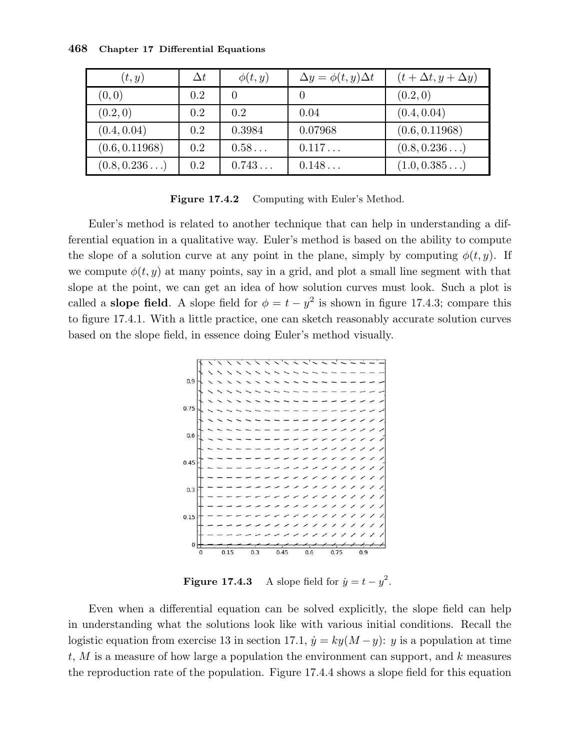| (t, y)         | $\Delta t$ | $\phi(t,y)$ | $\Delta y = \phi(t, y) \Delta t$ | $(t+\Delta t, y+\Delta y)$ |
|----------------|------------|-------------|----------------------------------|----------------------------|
| (0, 0)         | 0.2        |             |                                  | (0.2, 0)                   |
| (0.2, 0)       | 0.2        | 0.2         | 0.04                             | (0.4, 0.04)                |
| (0.4, 0.04)    | 0.2        | 0.3984      | 0.07968                          | (0.6, 0.11968)             |
| (0.6, 0.11968) | 0.2        | $0.58\dots$ | 0.117                            | (0.8, 0.236)               |
| (0.8, 0.236)   | 0.2        | 0.743       | 0.148                            | (1.0, 0.385)               |

Figure 17.4.2 Computing with Euler's Method.

Euler's method is related to another technique that can help in understanding a differential equation in a qualitative way. Euler's method is based on the ability to compute the slope of a solution curve at any point in the plane, simply by computing  $\phi(t, y)$ . If we compute  $\phi(t, y)$  at many points, say in a grid, and plot a small line segment with that slope at the point, we can get an idea of how solution curves must look. Such a plot is called a **slope field**. A slope field for  $\phi = t - y^2$  is shown in figure 17.4.3; compare this to figure 17.4.1. With a little practice, one can sketch reasonably accurate solution curves based on the slope field, in essence doing Euler's method visually.



**Figure 17.4.3** A slope field for  $\dot{y} = t - y^2$ .

Even when a differential equation can be solved explicitly, the slope field can help in understanding what the solutions look like with various initial conditions. Recall the logistic equation from exercise 13 in section 17.1,  $\dot{y} = ky(M - y)$ : y is a population at time  $t, M$  is a measure of how large a population the environment can support, and  $k$  measures the reproduction rate of the population. Figure 17.4.4 shows a slope field for this equation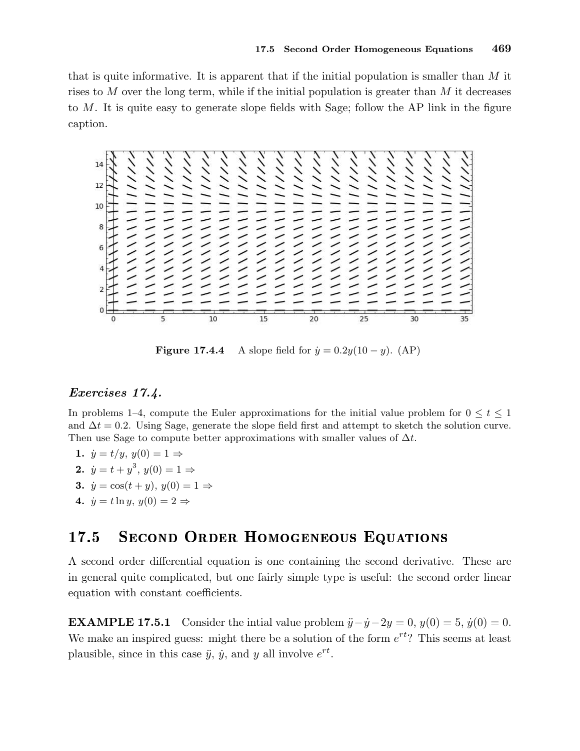that is quite informative. It is apparent that if the initial population is smaller than  $M$  it rises to M over the long term, while if the initial population is greater than  $M$  it decreases to M. It is quite easy to generate slope fields with Sage; follow the AP link in the figure caption.



Figure 17.4.4 A slope field for  $\dot{y} = 0.2y(10 - y)$ . (AP)

## Exercises 17.4.

In problems 1–4, compute the Euler approximations for the initial value problem for  $0 \le t \le 1$ and  $\Delta t = 0.2$ . Using Sage, generate the slope field first and attempt to sketch the solution curve. Then use Sage to compute better approximations with smaller values of  $\Delta t$ .

- 1.  $\dot{y} = t/y$ ,  $y(0) = 1 \Rightarrow$ 2.  $\dot{y} = t + y^3, y(0) = 1 \Rightarrow$ 3.  $\dot{y} = \cos(t + y), y(0) = 1 \Rightarrow$
- 4.  $\dot{y} = t \ln y, y(0) = 2 \Rightarrow$

#### SECOND ORDER HOMOGENEOUS EQUATIONS 17.5

A second order differential equation is one containing the second derivative. These are in general quite complicated, but one fairly simple type is useful: the second order linear equation with constant coefficients.

**EXAMPLE 17.5.1** Consider the intial value problem  $\ddot{y} - \dot{y} - 2y = 0$ ,  $y(0) = 5$ ,  $\dot{y}(0) = 0$ . We make an inspired guess: might there be a solution of the form  $e^{rt}$ ? This seems at least plausible, since in this case  $\ddot{y}$ ,  $\dot{y}$ , and y all involve  $e^{rt}$ .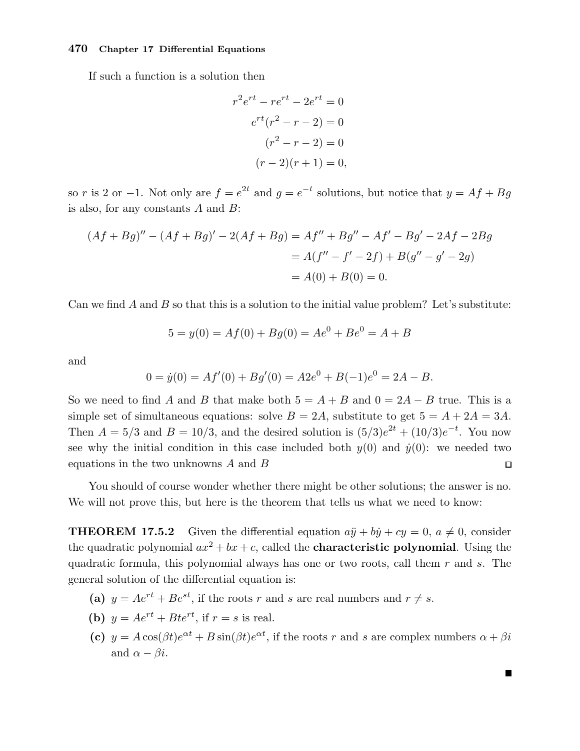If such a function is a solution then

$$
r^{2}e^{rt} - re^{rt} - 2e^{rt} = 0
$$

$$
e^{rt}(r^{2} - r - 2) = 0
$$

$$
(r^{2} - r - 2) = 0
$$

$$
(r - 2)(r + 1) = 0,
$$

so r is 2 or -1. Not only are  $f = e^{2t}$  and  $g = e^{-t}$  solutions, but notice that  $y = Af + Bg$ is also, for any constants  $A$  and  $B$ :

$$
(Af + Bg)'' - (Af + Bg)' - 2(Af + Bg) = Af'' + Bg'' - Af' - Bg' - 2Af - 2Bg
$$
  
=  $A(f'' - f' - 2f) + B(g'' - g' - 2g)$   
=  $A(0) + B(0) = 0$ .

Can we find A and B so that this is a solution to the initial value problem? Let's substitute:

$$
5 = y(0) = Af(0) + Bg(0) = Ae^{0} + Be^{0} = A + B
$$

and

$$
0 = \dot{y}(0) = Af'(0) + Bg'(0) = A2e^{0} + B(-1)e^{0} = 2A - B.
$$

So we need to find A and B that make both  $5 = A + B$  and  $0 = 2A - B$  true. This is a simple set of simultaneous equations: solve  $B = 2A$ , substitute to get  $5 = A + 2A = 3A$ . Then  $A = 5/3$  and  $B = 10/3$ , and the desired solution is  $(5/3)e^{2t} + (10/3)e^{-t}$ . You now see why the initial condition in this case included both  $y(0)$  and  $\dot{y}(0)$ : we needed two equations in the two unknowns  $A$  and  $B$  $\Box$ 

You should of course wonder whether there might be other solutions; the answer is no. We will not prove this, but here is the theorem that tells us what we need to know:

**THEOREM 17.5.2** Given the differential equation  $a\ddot{y} + b\dot{y} + cy = 0$ ,  $a \neq 0$ , consider the quadratic polynomial  $ax^2 + bx + c$ , called the **characteristic polynomial**. Using the quadratic formula, this polynomial always has one or two roots, call them  $r$  and  $s$ . The general solution of the differential equation is:

- (a)  $y = Ae^{rt} + Be^{st}$ , if the roots r and s are real numbers and  $r \neq s$ .
- (b)  $y = Ae^{rt} + Bte^{rt}$ , if  $r = s$  is real.
- (c)  $y = A\cos(\beta t)e^{\alpha t} + B\sin(\beta t)e^{\alpha t}$ , if the roots r and s are complex numbers  $\alpha + \beta i$ and  $\alpha - \beta i$ .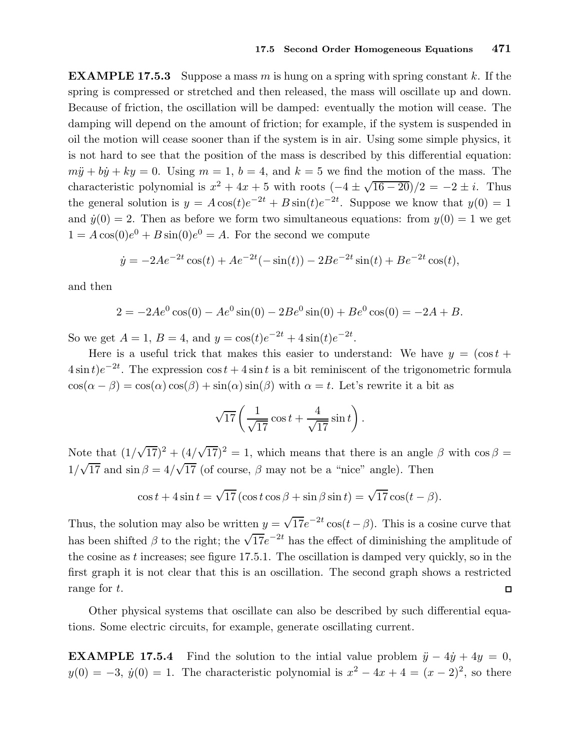**EXAMPLE 17.5.3** Suppose a mass m is hung on a spring with spring constant k. If the spring is compressed or stretched and then released, the mass will oscillate up and down. Because of friction, the oscillation will be damped: eventually the motion will cease. The damping will depend on the amount of friction; for example, if the system is suspended in oil the motion will cease sooner than if the system is in air. Using some simple physics, it is not hard to see that the position of the mass is described by this differential equation:  $m\ddot{y} + b\dot{y} + ky = 0$ . Using  $m = 1$ ,  $b = 4$ , and  $k = 5$  we find the motion of the mass. The characteristic polynomial is  $x^2 + 4x + 5$  with roots  $(-4 \pm \sqrt{16 - 20})/2 = -2 \pm i$ . Thus the general solution is  $y = A \cos(t) e^{-2t} + B \sin(t) e^{-2t}$ . Suppose we know that  $y(0) = 1$ and  $\dot{y}(0) = 2$ . Then as before we form two simultaneous equations: from  $y(0) = 1$  we get  $1 = A\cos(0)e^{0} + B\sin(0)e^{0} = A$ . For the second we compute

$$
\dot{y} = -2Ae^{-2t}\cos(t) + Ae^{-2t}(-\sin(t)) - 2Be^{-2t}\sin(t) + Be^{-2t}\cos(t),
$$

and then

$$
2 = -2Ae^{0}\cos(0) - Ae^{0}\sin(0) - 2Be^{0}\sin(0) + Be^{0}\cos(0) = -2A + B.
$$

So we get  $A = 1$ ,  $B = 4$ , and  $y = \cos(t)e^{-2t} + 4\sin(t)e^{-2t}$ .

Here is a useful trick that makes this easier to understand: We have  $y = (\cos t +$  $4\sin t$ ) $e^{-2t}$ . The expression cos  $t + 4\sin t$  is a bit reminiscent of the trigonometric formula  $\cos(\alpha - \beta) = \cos(\alpha)\cos(\beta) + \sin(\alpha)\sin(\beta)$  with  $\alpha = t$ . Let's rewrite it a bit as

$$
\sqrt{17}\left(\frac{1}{\sqrt{17}}\cos t + \frac{4}{\sqrt{17}}\sin t\right).
$$

Note that  $(1/\sqrt{17})^2 + (4/\sqrt{17})^2 = 1$ , which means that there is an angle  $\beta$  with  $\cos \beta =$  $1/\sqrt{17}$  and  $\sin \beta = 4/\sqrt{17}$  (of course,  $\beta$  may not be a "nice" angle). Then

$$
\cos t + 4\sin t = \sqrt{17} \left( \cos t \cos \beta + \sin \beta \sin t \right) = \sqrt{17} \cos(t - \beta).
$$

Thus, the solution may also be written  $y = \sqrt{17}e^{-2t}\cos(t-\beta)$ . This is a cosine curve that has been shifted  $\beta$  to the right; the  $\sqrt{17}e^{-2t}$  has the effect of diminishing the amplitude of the cosine as  $t$  increases; see figure 17.5.1. The oscillation is damped very quickly, so in the first graph it is not clear that this is an oscillation. The second graph shows a restricted range for t.  $\Box$ 

Other physical systems that oscillate can also be described by such differential equations. Some electric circuits, for example, generate oscillating current.

**EXAMPLE 17.5.4** Find the solution to the intial value problem  $\ddot{y} - 4\dot{y} + 4y = 0$ ,  $y(0) = -3$ ,  $\dot{y}(0) = 1$ . The characteristic polynomial is  $x^2 - 4x + 4 = (x - 2)^2$ , so there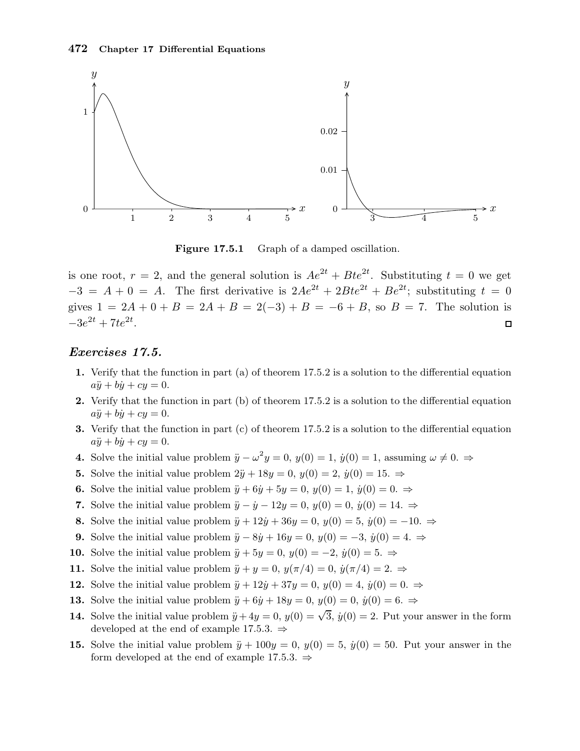

Figure 17.5.1 Graph of a damped oscillation.

is one root,  $r = 2$ , and the general solution is  $Ae^{2t} + Bte^{2t}$ . Substituting  $t = 0$  we get  $-3 = A + 0 = A$ . The first derivative is  $2Ae^{2t} + 2Bte^{2t} + Be^{2t}$ ; substituting  $t = 0$ gives  $1 = 2A + 0 + B = 2A + B = 2(-3) + B = -6 + B$ , so  $B = 7$ . The solution is  $-3e^{2t} + 7te^{2t}$ .  $\Box$ 

## Exercises 17.5.

- 1. Verify that the function in part (a) of theorem 17.5.2 is a solution to the differential equation  $a\ddot{y} + b\dot{y} + cy = 0.$
- 2. Verify that the function in part (b) of theorem 17.5.2 is a solution to the differential equation  $a\ddot{y} + b\dot{y} + cy = 0.$
- 3. Verify that the function in part (c) of theorem 17.5.2 is a solution to the differential equation  $a\ddot{y} + b\dot{y} + cy = 0.$
- 4. Solve the initial value problem  $\ddot{y} \omega^2 y = 0$ ,  $y(0) = 1$ ,  $\dot{y}(0) = 1$ , assuming  $\omega \neq 0$ .
- 5. Solve the initial value problem  $2\ddot{y} + 18y = 0$ ,  $y(0) = 2$ ,  $\dot{y}(0) = 15$ .  $\Rightarrow$
- **6.** Solve the initial value problem  $\ddot{y} + 6\dot{y} + 5y = 0$ ,  $y(0) = 1$ ,  $\dot{y}(0) = 0$ .  $\Rightarrow$
- 7. Solve the initial value problem  $\ddot{y} \dot{y} 12y = 0$ ,  $y(0) = 0$ ,  $\dot{y}(0) = 14$ .  $\Rightarrow$
- 8. Solve the initial value problem  $\ddot{y} + 12\dot{y} + 36y = 0$ ,  $y(0) = 5$ ,  $\dot{y}(0) = -10$ .  $\Rightarrow$
- 9. Solve the initial value problem  $\ddot{y} 8\dot{y} + 16y = 0$ ,  $y(0) = -3$ ,  $\dot{y}(0) = 4$ .  $\Rightarrow$
- 10. Solve the initial value problem  $\ddot{y} + 5y = 0$ ,  $y(0) = -2$ ,  $\dot{y}(0) = 5$ .  $\Rightarrow$
- 11. Solve the initial value problem  $\ddot{y} + y = 0$ ,  $y(\pi/4) = 0$ ,  $\dot{y}(\pi/4) = 2$ .  $\Rightarrow$
- 12. Solve the initial value problem  $\ddot{y} + 12\dot{y} + 37y = 0$ ,  $y(0) = 4$ ,  $\dot{y}(0) = 0$ .  $\Rightarrow$
- 13. Solve the initial value problem  $\ddot{y} + 6\dot{y} + 18y = 0$ ,  $y(0) = 0$ ,  $\dot{y}(0) = 6$ .  $\Rightarrow$
- **14.** Solve the initial value problem  $\ddot{y} + 4y = 0$ ,  $y(0) = \sqrt{3}$ ,  $\dot{y}(0) = 2$ . Put your answer in the form developed at the end of example 17.5.3.  $\Rightarrow$
- 15. Solve the initial value problem  $\ddot{y} + 100y = 0$ ,  $y(0) = 5$ ,  $\dot{y}(0) = 50$ . Put your answer in the form developed at the end of example 17.5.3.  $\Rightarrow$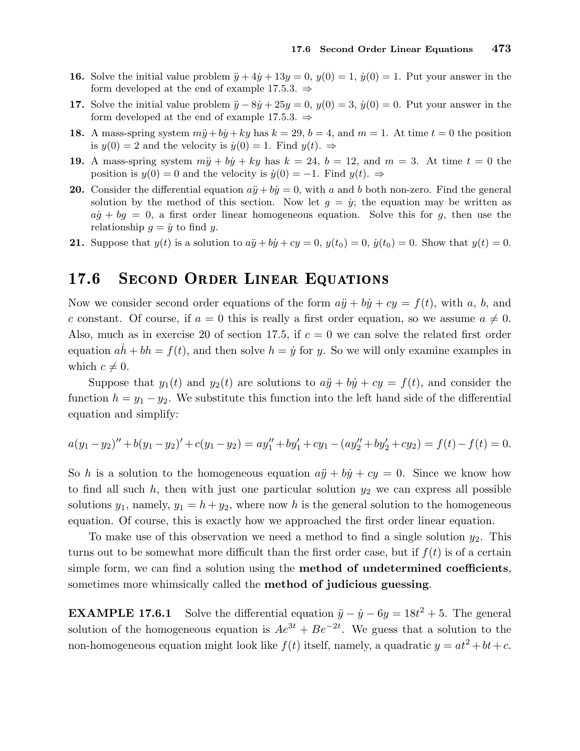- 16. Solve the initial value problem  $\ddot{y} + 4\dot{y} + 13y = 0$ ,  $y(0) = 1$ ,  $\dot{y}(0) = 1$ . Put your answer in the form developed at the end of example 17.5.3.  $\Rightarrow$
- 17. Solve the initial value problem  $\ddot{y} 8\dot{y} + 25y = 0$ ,  $y(0) = 3$ ,  $\dot{y}(0) = 0$ . Put your answer in the form developed at the end of example 17.5.3.  $\Rightarrow$
- 18. A mass-spring system  $m\ddot{y} + b\dot{y} + ky$  has  $k = 29$ ,  $b = 4$ , and  $m = 1$ . At time  $t = 0$  the position is  $y(0) = 2$  and the velocity is  $\dot{y}(0) = 1$ . Find  $y(t) \Rightarrow$
- 19. A mass-spring system  $m\ddot{y} + b\dot{y} + ky$  has  $k = 24$ ,  $b = 12$ , and  $m = 3$ . At time  $t = 0$  the position is  $y(0) = 0$  and the velocity is  $\dot{y}(0) = -1$ . Find  $y(t) \Rightarrow$
- 20. Consider the differential equation  $a\ddot{y} + b\dot{y} = 0$ , with a and b both non-zero. Find the general solution by the method of this section. Now let  $g = \dot{y}$ ; the equation may be written as  $a\dot{q} + b\dot{q} = 0$ , a first order linear homogeneous equation. Solve this for q, then use the relationship  $g = \dot{y}$  to find y.
- **21.** Suppose that  $y(t)$  is a solution to  $a\ddot{y} + b\dot{y} + cy = 0$ ,  $y(t_0) = 0$ ,  $\dot{y}(t_0) = 0$ . Show that  $y(t) = 0$ .

#### SECOND ORDER LINEAR EQUATIONS 17.6

Now we consider second order equations of the form  $a\ddot{y} + b\dot{y} + cy = f(t)$ , with a, b, and c constant. Of course, if  $a = 0$  this is really a first order equation, so we assume  $a \neq 0$ . Also, much as in exercise 20 of section 17.5, if  $c = 0$  we can solve the related first order equation  $ah + bh = f(t)$ , and then solve  $h = \dot{y}$  for y. So we will only examine examples in which  $c \neq 0$ .

Suppose that  $y_1(t)$  and  $y_2(t)$  are solutions to  $a\ddot{y} + b\dot{y} + cy = f(t)$ , and consider the function  $h = y_1 - y_2$ . We substitute this function into the left hand side of the differential equation and simplify:

$$
a(y_1 - y_2)'' + b(y_1 - y_2)' + c(y_1 - y_2) = ay_1'' + by_1' + cy_1 - (ay_2'' + by_2' + cy_2) = f(t) - f(t) = 0.
$$

So h is a solution to the homogeneous equation  $a\ddot{y} + b\dot{y} + cy = 0$ . Since we know how to find all such  $h$ , then with just one particular solution  $y_2$  we can express all possible solutions  $y_1$ , namely,  $y_1 = h + y_2$ , where now h is the general solution to the homogeneous equation. Of course, this is exactly how we approached the first order linear equation.

To make use of this observation we need a method to find a single solution  $y_2$ . This turns out to be somewhat more difficult than the first order case, but if  $f(t)$  is of a certain simple form, we can find a solution using the **method of undetermined coefficients**, sometimes more whimsically called the method of judicious guessing.

**EXAMPLE 17.6.1** Solve the differential equation  $\ddot{y} - \dot{y} - 6y = 18t^2 + 5$ . The general solution of the homogeneous equation is  $Ae^{3t} + Be^{-2t}$ . We guess that a solution to the non-homogeneous equation might look like  $f(t)$  itself, namely, a quadratic  $y = at^2 + bt + c$ .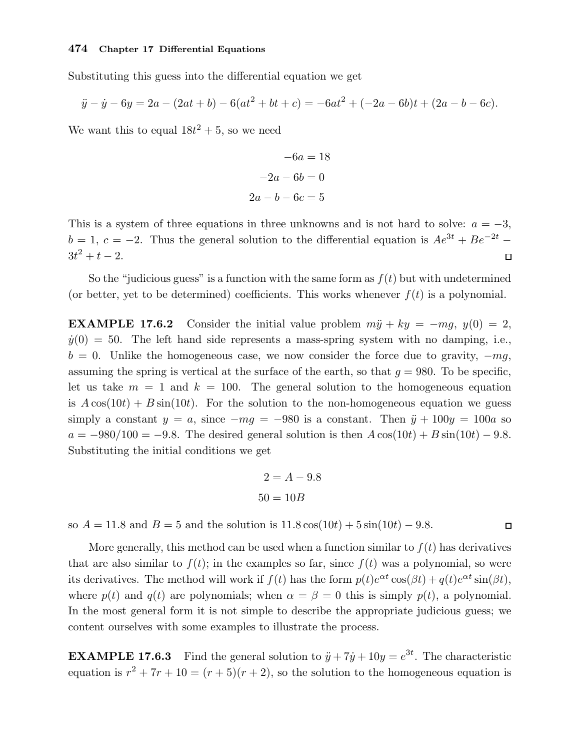Substituting this guess into the differential equation we get

$$
\ddot{y} - \dot{y} - 6y = 2a - (2at + b) - 6(at^2 + bt + c) = -6at^2 + (-2a - 6b)t + (2a - b - 6c).
$$

We want this to equal  $18t^2 + 5$ , so we need

$$
-6a = 18
$$

$$
-2a - 6b = 0
$$

$$
2a - b - 6c = 5
$$

This is a system of three equations in three unknowns and is not hard to solve:  $a = -3$ ,  $b = 1, c = -2$ . Thus the general solution to the differential equation is  $Ae^{3t} + Be^{-2t}$  $3t^2 + t - 2$ .  $\Box$ 

So the "judicious guess" is a function with the same form as  $f(t)$  but with undetermined (or better, yet to be determined) coefficients. This works whenever  $f(t)$  is a polynomial.

**EXAMPLE 17.6.2** Consider the initial value problem  $m\ddot{y} + ky = -mq$ ,  $y(0) = 2$ ,  $y(0) = 50$ . The left hand side represents a mass-spring system with no damping, i.e.,  $b = 0$ . Unlike the homogeneous case, we now consider the force due to gravity,  $-mg$ , assuming the spring is vertical at the surface of the earth, so that  $q = 980$ . To be specific, let us take  $m = 1$  and  $k = 100$ . The general solution to the homogeneous equation is  $A\cos(10t) + B\sin(10t)$ . For the solution to the non-homogeneous equation we guess simply a constant  $y = a$ , since  $-mg = -980$  is a constant. Then  $\ddot{y} + 100y = 100a$  so  $a = -980/100 = -9.8$ . The desired general solution is then  $A\cos(10t) + B\sin(10t) - 9.8$ . Substituting the initial conditions we get

$$
2 = A - 9.8
$$

$$
50 = 10B
$$

so  $A = 11.8$  and  $B = 5$  and the solution is  $11.8 \cos(10t) + 5 \sin(10t) - 9.8$ .

 $\Box$ 

More generally, this method can be used when a function similar to  $f(t)$  has derivatives that are also similar to  $f(t)$ ; in the examples so far, since  $f(t)$  was a polynomial, so were its derivatives. The method will work if  $f(t)$  has the form  $p(t)e^{\alpha t}\cos(\beta t) + q(t)e^{\alpha t}\sin(\beta t)$ , where  $p(t)$  and  $q(t)$  are polynomials; when  $\alpha = \beta = 0$  this is simply  $p(t)$ , a polynomial. In the most general form it is not simple to describe the appropriate judicious guess; we content ourselves with some examples to illustrate the process.

**EXAMPLE 17.6.3** Find the general solution to  $\ddot{y} + 7\dot{y} + 10y = e^{3t}$ . The characteristic equation is  $r^2 + 7r + 10 = (r + 5)(r + 2)$ , so the solution to the homogeneous equation is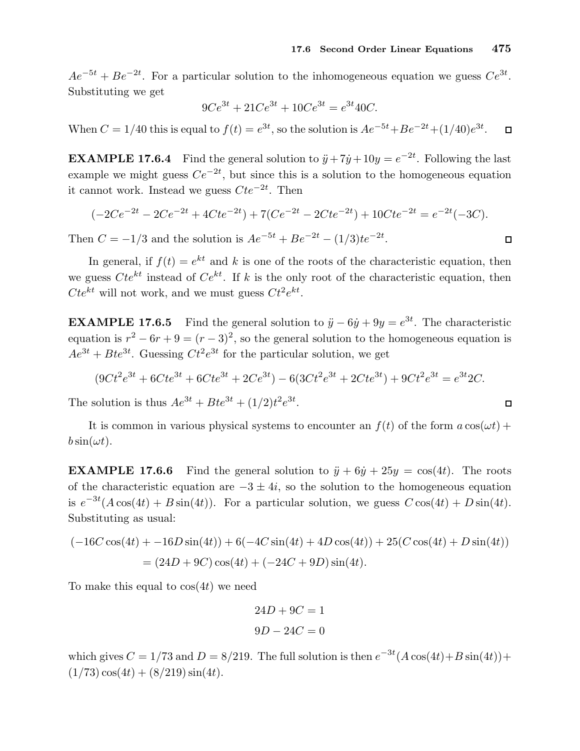$Ae^{-5t} + Be^{-2t}$ . For a particular solution to the inhomogeneous equation we guess  $Ce^{3t}$ . Substituting we get

$$
9Ce^{3t} + 21Ce^{3t} + 10Ce^{3t} = e^{3t}40C.
$$

When  $C = 1/40$  this is equal to  $f(t) = e^{3t}$ , so the solution is  $Ae^{-5t} + Be^{-2t} + (1/40)e^{3t}$ .  $\Box$ 

**EXAMPLE 17.6.4** Find the general solution to  $\ddot{y} + 7\dot{y} + 10y = e^{-2t}$ . Following the last example we might guess  $Ce^{-2t}$ , but since this is a solution to the homogeneous equation it cannot work. Instead we guess  $Cte^{-2t}$ . Then

$$
(-2Ce^{-2t} - 2Ce^{-2t} + 4Cte^{-2t}) + 7(Ce^{-2t} - 2Cte^{-2t}) + 10Cte^{-2t} = e^{-2t}(-3C).
$$

Then  $C = -1/3$  and the solution is  $Ae^{-5t} + Be^{-2t} - (1/3)te^{-2t}$ .

In general, if  $f(t) = e^{kt}$  and k is one of the roots of the characteristic equation, then we guess  $Cte^{kt}$  instead of  $Ce^{kt}$ . If k is the only root of the characteristic equation, then  $Cte^{kt}$  will not work, and we must guess  $Ct^2e^{kt}$ .

**EXAMPLE 17.6.5** Find the general solution to  $\ddot{y} - 6\dot{y} + 9y = e^{3t}$ . The characteristic equation is  $r^2 - 6r + 9 = (r - 3)^2$ , so the general solution to the homogeneous equation is  $Ae^{3t} + Bte^{3t}$ . Guessing  $Ct^2e^{3t}$  for the particular solution, we get

$$
(9Ct2e3t + 6Cte3t + 6Cte3t + 2Ce3t) - 6(3Ct2e3t + 2Cte3t) + 9Ct2e3t = e3t2C.
$$

The solution is thus  $Ae^{3t} + Bte^{3t} + (1/2)t^2e^{3t}$ .

It is common in various physical systems to encounter an  $f(t)$  of the form  $a \cos(\omega t)$  +  $b \sin(\omega t)$ .

**EXAMPLE 17.6.6** Find the general solution to  $\ddot{y} + 6\dot{y} + 25y = \cos(4t)$ . The roots of the characteristic equation are  $-3 \pm 4i$ , so the solution to the homogeneous equation is  $e^{-3t}(A\cos(4t) + B\sin(4t))$ . For a particular solution, we guess  $C\cos(4t) + D\sin(4t)$ . Substituting as usual:

$$
(-16C\cos(4t) + -16D\sin(4t)) + 6(-4C\sin(4t) + 4D\cos(4t)) + 25(C\cos(4t) + D\sin(4t))
$$
  
= (24D + 9C)cos(4t) + (-24C + 9D)sin(4t).

To make this equal to  $\cos(4t)$  we need

$$
24D + 9C = 1
$$

$$
9D - 24C = 0
$$

which gives  $C = 1/73$  and  $D = 8/219$ . The full solution is then  $e^{-3t}(A\cos(4t) + B\sin(4t))$ +  $(1/73)\cos(4t) + (8/219)\sin(4t).$ 

$$
\Box
$$

 $\Box$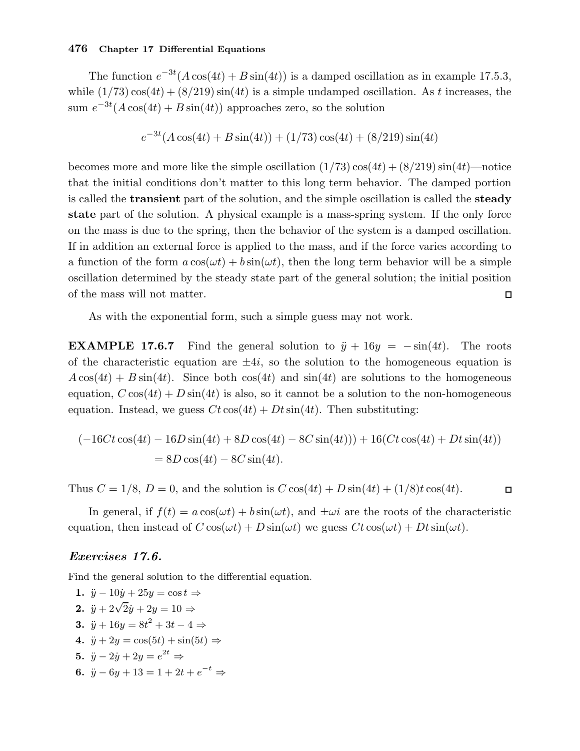The function  $e^{-3t}(A\cos(4t) + B\sin(4t))$  is a damped oscillation as in example 17.5.3, while  $(1/73)\cos(4t) + (8/219)\sin(4t)$  is a simple undamped oscillation. As t increases, the sum  $e^{-3t}(A\cos(4t) + B\sin(4t))$  approaches zero, so the solution

$$
e^{-3t}(A\cos(4t) + B\sin(4t)) + (1/73)\cos(4t) + (8/219)\sin(4t)
$$

becomes more and more like the simple oscillation  $(1/73)\cos(4t) + (8/219)\sin(4t)$ —notice that the initial conditions don't matter to this long term behavior. The damped portion is called the transient part of the solution, and the simple oscillation is called the steady state part of the solution. A physical example is a mass-spring system. If the only force on the mass is due to the spring, then the behavior of the system is a damped oscillation. If in addition an external force is applied to the mass, and if the force varies according to a function of the form  $a \cos(\omega t) + b \sin(\omega t)$ , then the long term behavior will be a simple oscillation determined by the steady state part of the general solution; the initial position of the mass will not matter.  $\Box$ 

As with the exponential form, such a simple guess may not work.

**EXAMPLE 17.6.7** Find the general solution to  $\ddot{y} + 16y = -\sin(4t)$ . The roots of the characteristic equation are  $\pm 4i$ , so the solution to the homogeneous equation is  $A\cos(4t) + B\sin(4t)$ . Since both  $\cos(4t)$  and  $\sin(4t)$  are solutions to the homogeneous equation,  $C \cos(4t) + D \sin(4t)$  is also, so it cannot be a solution to the non-homogeneous equation. Instead, we guess  $Ct\cos(4t) + Dt\sin(4t)$ . Then substituting:

$$
(-16Ct\cos(4t) - 16D\sin(4t) + 8D\cos(4t) - 8C\sin(4t))) + 16(Ct\cos(4t) + Dt\sin(4t))
$$
  
= 8D\cos(4t) - 8C\sin(4t).

Thus  $C = 1/8$ ,  $D = 0$ , and the solution is  $C \cos(4t) + D \sin(4t) + (1/8)t \cos(4t)$ .  $\Box$ 

In general, if  $f(t) = a \cos(\omega t) + b \sin(\omega t)$ , and  $\pm \omega i$  are the roots of the characteristic equation, then instead of  $C \cos(\omega t) + D \sin(\omega t)$  we guess  $Ct \cos(\omega t) + Dt \sin(\omega t)$ .

## Exercises 17.6.

Find the general solution to the differential equation.

1.  $\ddot{y} - 10\dot{y} + 25y = \cos t \Rightarrow$ 2.  $\ddot{y} + 2\sqrt{2}\dot{y} + 2y = 10 \Rightarrow$ 3.  $\ddot{y} + 16y = 8t^2 + 3t - 4 \Rightarrow$ 4.  $\ddot{y} + 2y = \cos(5t) + \sin(5t) \Rightarrow$ 5.  $\ddot{y} - 2\dot{y} + 2y = e^{2t} \Rightarrow$ 6.  $\ddot{y} - 6y + 13 = 1 + 2t + e^{-t} \Rightarrow$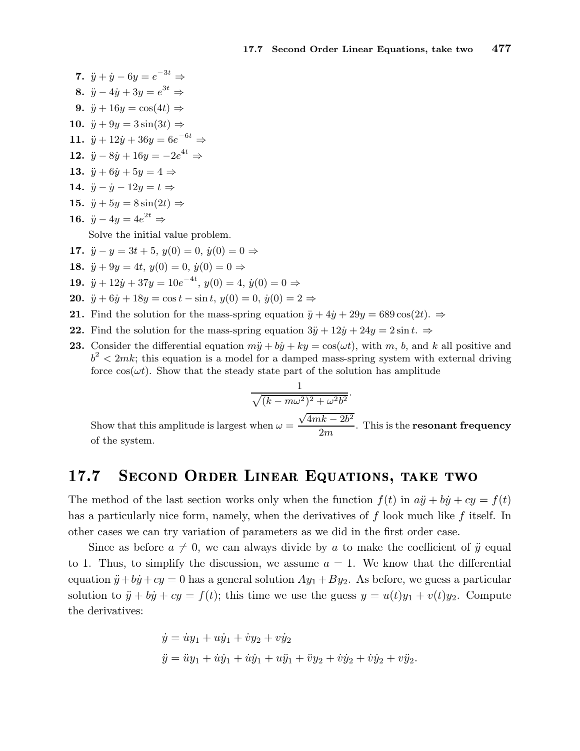7. 
$$
\ddot{y} + \dot{y} - 6y = e^{-3t} \Rightarrow
$$
\n8.  $\ddot{y} - 4\dot{y} + 3y = e^{3t} \Rightarrow$ \n9.  $\ddot{y} + 16y = \cos(4t) \Rightarrow$ \n10.  $\ddot{y} + 9y = 3\sin(3t) \Rightarrow$ \n11.  $\ddot{y} + 12\dot{y} + 36y = 6e^{-6t} \Rightarrow$ \n12.  $\ddot{y} - 8\dot{y} + 16y = -2e^{4t} \Rightarrow$ \n13.  $\ddot{y} + 6\dot{y} + 5y = 4 \Rightarrow$ \n14.  $\ddot{y} - \dot{y} - 12y = t \Rightarrow$ \n15.  $\ddot{y} + 5y = 8\sin(2t) \Rightarrow$ \n16.  $\ddot{y} - 4y = 4e^{2t} \Rightarrow$ \nSolve the initial value problem.\n17.  $\ddot{y} - y = 3t + 5$ ,  $y(0) = 0$ ,  $\dot{y}(0) = 0 \Rightarrow$ \n18.  $\ddot{y} + 9y = 4t$ ,  $y(0) = 0$ ,  $\dot{y}(0) = 0 \Rightarrow$ \n19.  $\ddot{y} + 12\dot{y} + 37y = 10e^{-4t}$ ,  $y(0) = 4$ ,  $\dot{y}(0) = 0$ 

- 20.  $\ddot{y} + 6\dot{y} + 18y = \cos t \sin t$ ,  $y(0) = 0$ ,  $\dot{y}(0) = 2 \Rightarrow$
- 21. Find the solution for the mass-spring equation  $\ddot{y} + 4\dot{y} + 29y = 689 \cos(2t)$ .  $\Rightarrow$
- 22. Find the solution for the mass-spring equation  $3\ddot{y} + 12\dot{y} + 24y = 2\sin t$ .  $\Rightarrow$
- **23.** Consider the differential equation  $m\ddot{y} + b\dot{y} + ky = \cos(\omega t)$ , with m, b, and k all positive and  $b^2 < 2mk$ ; this equation is a model for a damped mass-spring system with external driving force  $cos(\omega t)$ . Show that the steady state part of the solution has amplitude

 $0 \Rightarrow$ 

$$
\frac{1}{\sqrt{(k - m\omega^2)^2 + \omega^2 b^2}}.
$$
  
when  $\omega = \frac{\sqrt{4mk - 2b^2}}{}$ 

Show that this amplitude is largest when  $\omega =$  $\frac{2m}{2m}$ . This is the **resonant frequency** of the system.

## 17.7 SECOND ORDER LINEAR EQUATIONS, TAKE TWO

The method of the last section works only when the function  $f(t)$  in  $a\ddot{y} + b\dot{y} + cy = f(t)$ has a particularly nice form, namely, when the derivatives of  $f$  look much like  $f$  itself. In other cases we can try variation of parameters as we did in the first order case.

Since as before  $a \neq 0$ , we can always divide by a to make the coefficient of  $\ddot{y}$  equal to 1. Thus, to simplify the discussion, we assume  $a = 1$ . We know that the differential equation  $\ddot{y} + b\dot{y} + cy = 0$  has a general solution  $Ay_1 + By_2$ . As before, we guess a particular solution to  $\ddot{y} + b\dot{y} + cy = f(t)$ ; this time we use the guess  $y = u(t)y_1 + v(t)y_2$ . Compute the derivatives:

$$
\dot{y} = \dot{u}y_1 + u\dot{y}_1 + \dot{v}y_2 + v\dot{y}_2
$$
  

$$
\ddot{y} = \ddot{u}y_1 + \dot{u}\dot{y}_1 + \dot{u}\dot{y}_1 + u\ddot{y}_1 + \ddot{v}y_2 + \dot{v}\dot{y}_2 + \dot{v}\dot{y}_2 + v\ddot{y}_2.
$$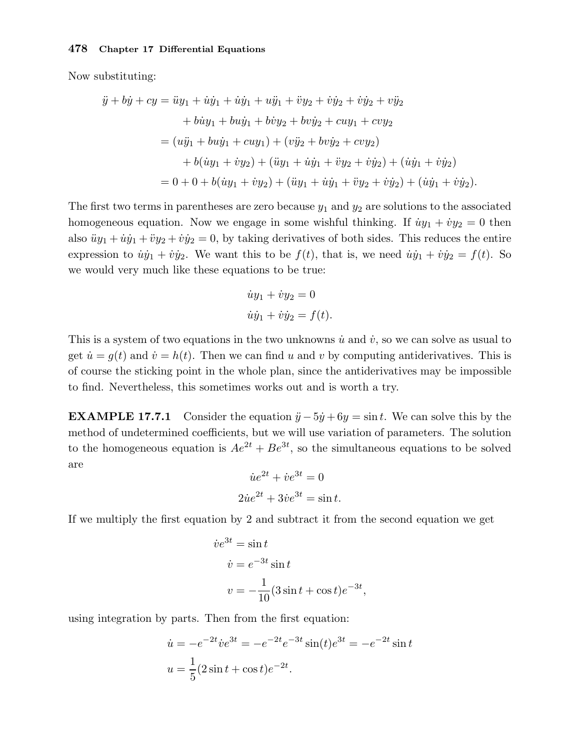Now substituting:

$$
\ddot{y} + b\dot{y} + cy = \ddot{u}y_1 + \dot{u}\dot{y}_1 + \dot{u}\dot{y}_1 + \ddot{v}\dot{y}_2 + \ddot{v}\dot{y}_2 + \dot{v}\dot{y}_2 + \dot{v}\ddot{y}_2 + \ddot{v}\ddot{y}_2
$$
  
+  $b\dot{u}y_1 + bu\dot{y}_1 + b\dot{v}y_2 + bv\dot{y}_2 + cuy_1 + cvy_2$   
=  $(u\ddot{y}_1 + bu\dot{y}_1 + cuy_1) + (v\ddot{y}_2 + bv\dot{y}_2 + cvy_2)$   
+  $b(\dot{u}y_1 + \dot{v}y_2) + (\ddot{u}y_1 + \dot{u}\dot{y}_1 + \ddot{v}y_2 + \dot{v}\dot{y}_2) + (\dot{u}\dot{y}_1 + \dot{v}\dot{y}_2)$   
=  $0 + 0 + b(\dot{u}y_1 + \dot{v}y_2) + (\ddot{u}y_1 + \dot{u}\dot{y}_1 + \ddot{v}y_2 + \dot{v}\dot{y}_2) + (\dot{u}\dot{y}_1 + \dot{v}\dot{y}_2).$ 

The first two terms in parentheses are zero because  $y_1$  and  $y_2$  are solutions to the associated homogeneous equation. Now we engage in some wishful thinking. If  $\dot{u}y_1 + \dot{v}y_2 = 0$  then also  $\ddot{u}y_1 + \dot{u}\dot{y}_1 + \ddot{v}y_2 + \dot{v}\dot{y}_2 = 0$ , by taking derivatives of both sides. This reduces the entire expression to  $\dot{u}\dot{y}_1 + \dot{v}\dot{y}_2$ . We want this to be  $f(t)$ , that is, we need  $\dot{u}\dot{y}_1 + \dot{v}\dot{y}_2 = f(t)$ . So we would very much like these equations to be true:

$$
\dot{u}y_1 + \dot{v}y_2 = 0
$$
  

$$
\dot{u}\dot{y}_1 + \dot{v}\dot{y}_2 = f(t).
$$

This is a system of two equations in the two unknowns  $\dot{u}$  and  $\dot{v}$ , so we can solve as usual to get  $\dot{u} = g(t)$  and  $\dot{v} = h(t)$ . Then we can find u and v by computing antiderivatives. This is of course the sticking point in the whole plan, since the antiderivatives may be impossible to find. Nevertheless, this sometimes works out and is worth a try.

**EXAMPLE 17.7.1** Consider the equation  $\ddot{y} - 5\dot{y} + 6y = \sin t$ . We can solve this by the method of undetermined coefficients, but we will use variation of parameters. The solution to the homogeneous equation is  $Ae^{2t} + Be^{3t}$ , so the simultaneous equations to be solved are

$$
\dot{u}e^{2t} + \dot{v}e^{3t} = 0
$$

$$
2\dot{u}e^{2t} + 3\dot{v}e^{3t} = \sin t.
$$

If we multiply the first equation by 2 and subtract it from the second equation we get

$$
\dot{v}e^{3t} = \sin t
$$
  

$$
\dot{v} = e^{-3t}\sin t
$$
  

$$
v = -\frac{1}{10}(3\sin t + \cos t)e^{-3t},
$$

using integration by parts. Then from the first equation:

$$
\dot{u} = -e^{-2t}\dot{v}e^{3t} = -e^{-2t}e^{-3t}\sin(t)e^{3t} = -e^{-2t}\sin t
$$

$$
u = \frac{1}{5}(2\sin t + \cos t)e^{-2t}.
$$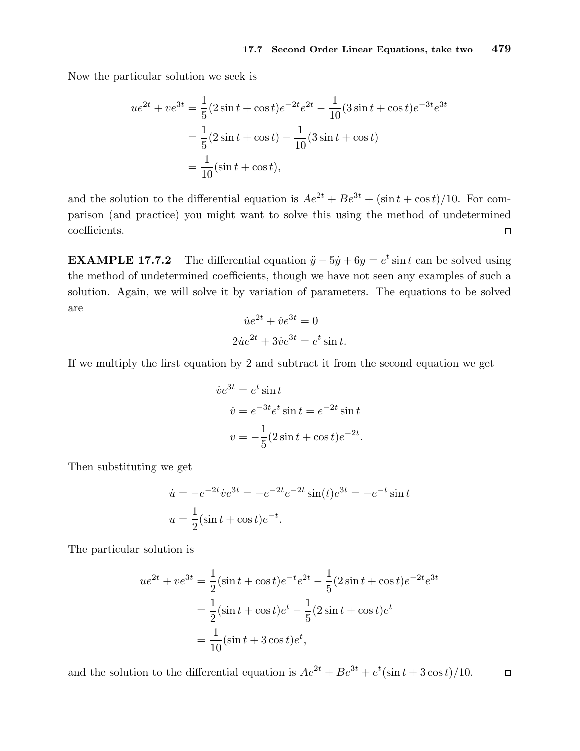Now the particular solution we seek is

$$
ue^{2t} + ve^{3t} = \frac{1}{5}(2\sin t + \cos t)e^{-2t}e^{2t} - \frac{1}{10}(3\sin t + \cos t)e^{-3t}e^{3t}
$$

$$
= \frac{1}{5}(2\sin t + \cos t) - \frac{1}{10}(3\sin t + \cos t)
$$

$$
= \frac{1}{10}(\sin t + \cos t),
$$

and the solution to the differential equation is  $Ae^{2t} + Be^{3t} + (\sin t + \cos t)/10$ . For comparison (and practice) you might want to solve this using the method of undetermined coefficients.  $\Box$ 

**EXAMPLE 17.7.2** The differential equation  $\ddot{y} - 5\dot{y} + 6y = e^t \sin t$  can be solved using the method of undetermined coefficients, though we have not seen any examples of such a solution. Again, we will solve it by variation of parameters. The equations to be solved are

$$
\dot{u}e^{2t} + \dot{v}e^{3t} = 0
$$
  

$$
2\dot{u}e^{2t} + 3\dot{v}e^{3t} = e^t \sin t.
$$

If we multiply the first equation by 2 and subtract it from the second equation we get

$$
\dot{v}e^{3t} = e^t \sin t
$$
  

$$
\dot{v} = e^{-3t}e^t \sin t = e^{-2t} \sin t
$$
  

$$
v = -\frac{1}{5}(2\sin t + \cos t)e^{-2t}.
$$

Then substituting we get

$$
\dot{u} = -e^{-2t}\dot{v}e^{3t} = -e^{-2t}e^{-2t}\sin(t)e^{3t} = -e^{-t}\sin t
$$

$$
u = \frac{1}{2}(\sin t + \cos t)e^{-t}.
$$

The particular solution is

$$
ue^{2t} + ve^{3t} = \frac{1}{2}(\sin t + \cos t)e^{-t}e^{2t} - \frac{1}{5}(2\sin t + \cos t)e^{-2t}e^{3t}
$$

$$
= \frac{1}{2}(\sin t + \cos t)e^{t} - \frac{1}{5}(2\sin t + \cos t)e^{t}
$$

$$
= \frac{1}{10}(\sin t + 3\cos t)e^{t},
$$

and the solution to the differential equation is  $Ae^{2t} + Be^{3t} + e^{t}(\sin t + 3\cos t)/10$ .  $\Box$